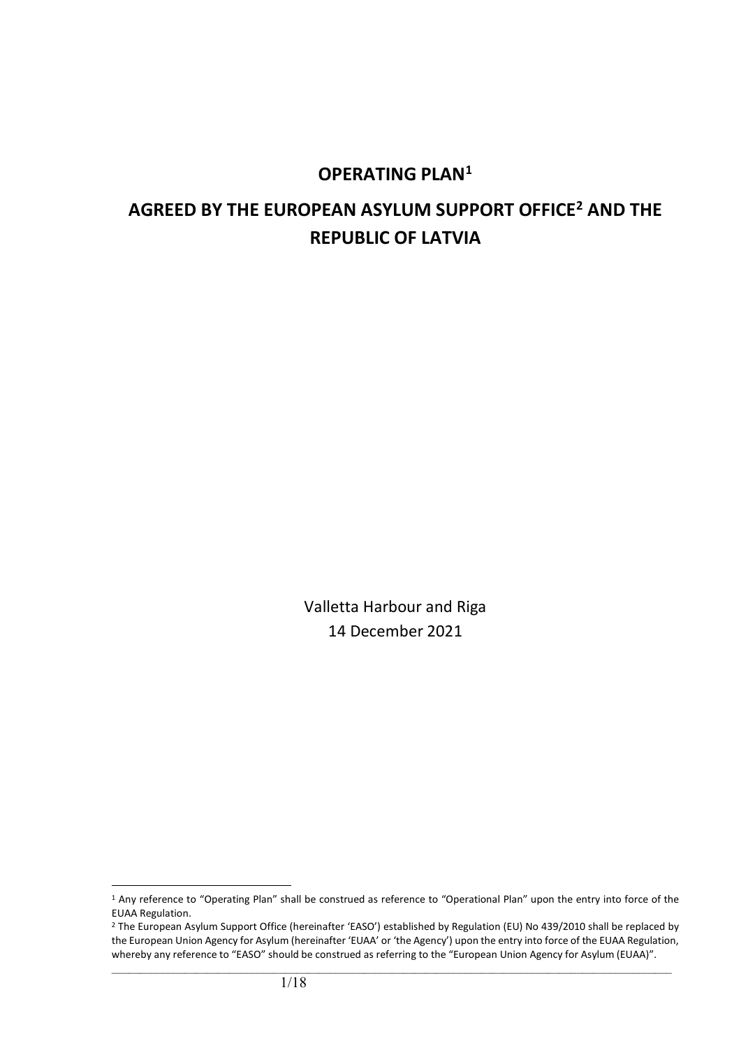# **OPERATING PLAN[1](#page-0-0)**

# **AGREED BY THE EUROPEAN ASYLUM SUPPORT OFFICE[2](#page-0-1) AND THE REPUBLIC OF LATVIA**

Valletta Harbour and Riga 14 December 2021

<span id="page-0-0"></span><sup>&</sup>lt;sup>1</sup> Any reference to "Operating Plan" shall be construed as reference to "Operational Plan" upon the entry into force of the EUAA Regulation.

<span id="page-0-1"></span><sup>&</sup>lt;sup>2</sup> The European Asylum Support Office (hereinafter 'EASO') established by Regulation (EU) No 439/2010 shall be replaced by the European Union Agency for Asylum (hereinafter 'EUAA' or 'the Agency') upon the entry into force of the EUAA Regulation, whereby any reference to "EASO" should be construed as referring to the "European Union Agency for Asylum (EUAA)".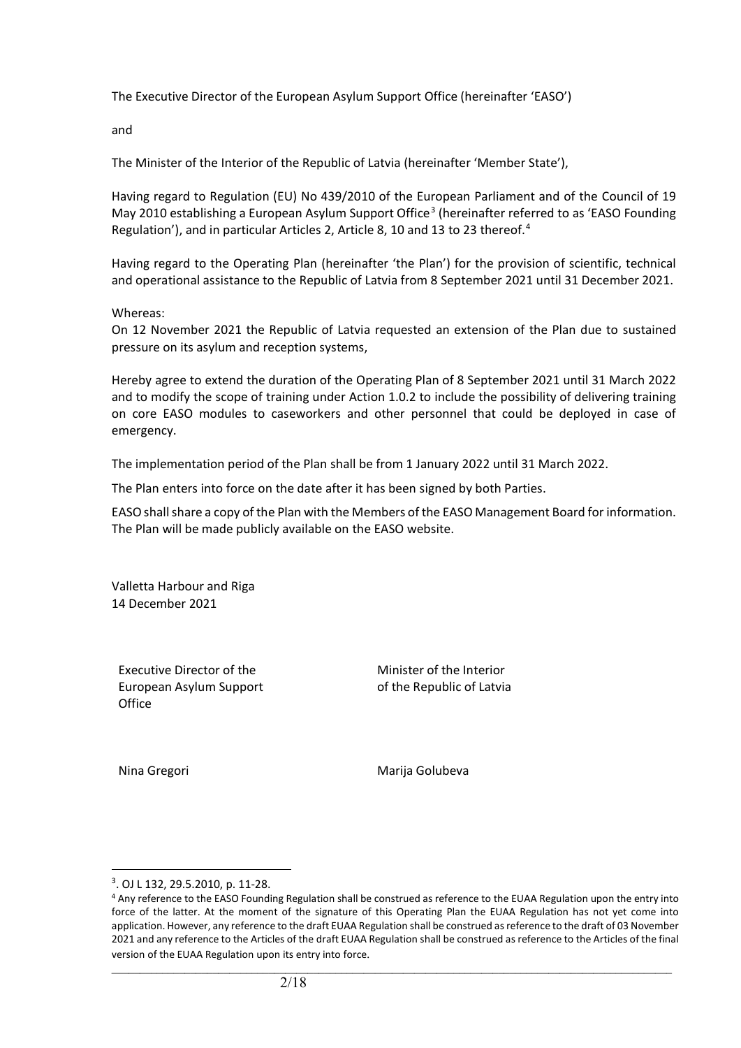The Executive Director of the European Asylum Support Office (hereinafter 'EASO')

and

The Minister of the Interior of the Republic of Latvia (hereinafter 'Member State'),

Having regard to Regulation (EU) No 439/2010 of the European Parliament and of the Council of 19 May 2010 establishing a European Asylum Support Office<sup>[3](#page-1-0)</sup> (hereinafter referred to as 'EASO Founding Regulation'), and in particular Articles 2, Article 8, 10 and 13 to 23 thereof.<sup>[4](#page-1-1)</sup>

Having regard to the Operating Plan (hereinafter 'the Plan') for the provision of scientific, technical and operational assistance to the Republic of Latvia from 8 September 2021 until 31 December 2021.

Whereas:

On 12 November 2021 the Republic of Latvia requested an extension of the Plan due to sustained pressure on its asylum and reception systems,

Hereby agree to extend the duration of the Operating Plan of 8 September 2021 until 31 March 2022 and to modify the scope of training under Action 1.0.2 to include the possibility of delivering training on core EASO modules to caseworkers and other personnel that could be deployed in case of emergency.

The implementation period of the Plan shall be from 1 January 2022 until 31 March 2022.

The Plan enters into force on the date after it has been signed by both Parties.

EASO shall share a copy of the Plan with the Members of the EASO Management Board for information. The Plan will be made publicly available on the EASO website.

Valletta Harbour and Riga 14 December 2021

Executive Director of the European Asylum Support **Office** 

Minister of the Interior of the Republic of Latvia

Nina Gregori **Marija Golubeva** 

<span id="page-1-0"></span><sup>3</sup> . OJ L 132, 29.5.2010, p. 11-28.

<span id="page-1-1"></span><sup>4</sup> Any reference to the EASO Founding Regulation shall be construed as reference to the EUAA Regulation upon the entry into force of the latter. At the moment of the signature of this Operating Plan the EUAA Regulation has not yet come into application. However, any reference to the draft EUAA Regulation shall be construed as reference to the draft of 03 November 2021 and any reference to the Articles of the draft EUAA Regulation shall be construed as reference to the Articles of the final version of the EUAA Regulation upon its entry into force.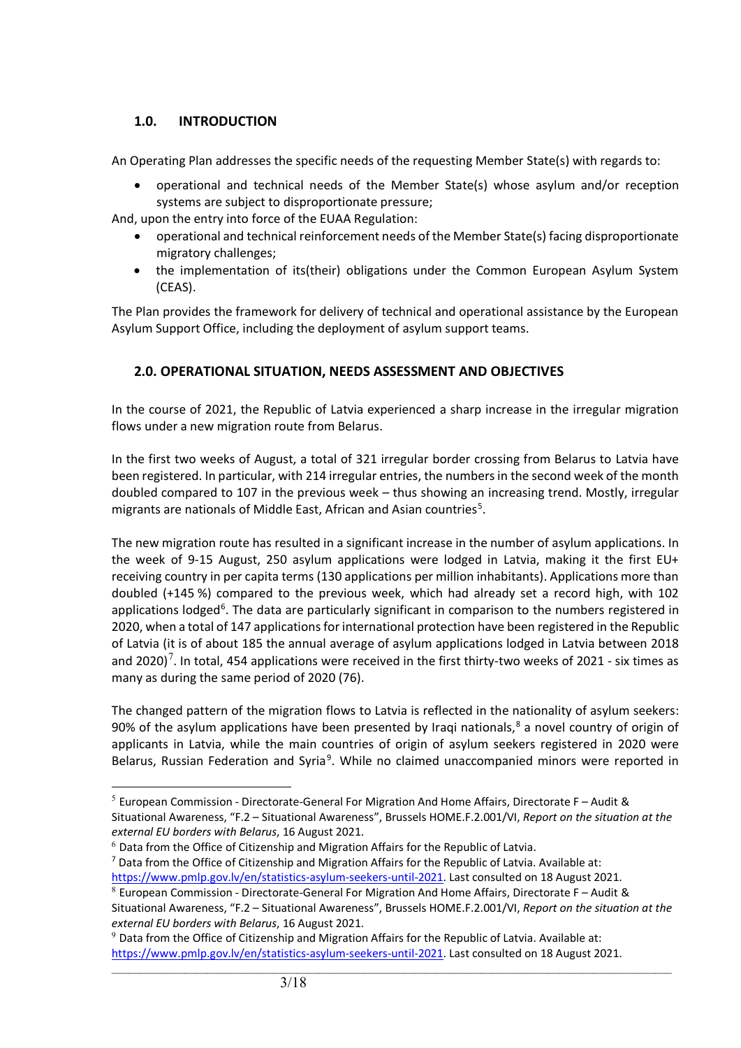## **1.0. INTRODUCTION**

An Operating Plan addresses the specific needs of the requesting Member State(s) with regards to:

• operational and technical needs of the Member State(s) whose asylum and/or reception systems are subject to disproportionate pressure;

And, upon the entry into force of the EUAA Regulation:

- operational and technical reinforcement needs of the Member State(s) facing disproportionate migratory challenges;
- the implementation of its(their) obligations under the Common European Asylum System (CEAS).

The Plan provides the framework for delivery of technical and operational assistance by the European Asylum Support Office, including the deployment of asylum support teams.

# **2.0. OPERATIONAL SITUATION, NEEDS ASSESSMENT AND OBJECTIVES**

In the course of 2021, the Republic of Latvia experienced a sharp increase in the irregular migration flows under a new migration route from Belarus.

In the first two weeks of August, a total of 321 irregular border crossing from Belarus to Latvia have been registered. In particular, with 214 irregular entries, the numbers in the second week of the month doubled compared to 107 in the previous week – thus showing an increasing trend. Mostly, irregular migrants are nationals of Middle East, African and Asian countries<sup>[5](#page-2-0)</sup>.

The new migration route has resulted in a significant increase in the number of asylum applications. In the week of 9-15 August, 250 asylum applications were lodged in Latvia, making it the first EU+ receiving country in per capita terms (130 applications per million inhabitants). Applications more than doubled (+145 %) compared to the previous week, which had already set a record high, with 102 applications lodged<sup>[6](#page-2-1)</sup>. The data are particularly significant in comparison to the numbers registered in 2020, when a total of 147 applications for international protection have been registered in the Republic of Latvia (it is of about 185 the annual average of asylum applications lodged in Latvia between 2018 and 2020)<sup>[7](#page-2-2)</sup>. In total, 454 applications were received in the first thirty-two weeks of 2021 - six times as many as during the same period of 2020 (76).

The changed pattern of the migration flows to Latvia is reflected in the nationality of asylum seekers: 90% of the asylum applications have been presented by Iraqi nationals, $8$  a novel country of origin of applicants in Latvia, while the main countries of origin of asylum seekers registered in 2020 were Belarus, Russian Federation and Syria<sup>[9](#page-2-4)</sup>. While no claimed unaccompanied minors were reported in

<span id="page-2-0"></span> $<sup>5</sup>$  European Commission - Directorate-General For Migration And Home Affairs, Directorate F – Audit &</sup> Situational Awareness, "F.2 – Situational Awareness", Brussels HOME.F.2.001/VI, *Report on the situation at the external EU borders with Belarus*, 16 August 2021.

<span id="page-2-1"></span> $6$  Data from the Office of Citizenship and Migration Affairs for the Republic of Latvia.

<span id="page-2-2"></span> $7$  Data from the Office of Citizenship and Migration Affairs for the Republic of Latvia. Available at: [https://www.pmlp.gov.lv/en/statistics-asylum-seekers-until-2021.](https://www.pmlp.gov.lv/en/statistics-asylum-seekers-until-2021) Last consulted on 18 August 2021.

<span id="page-2-3"></span> $8$  European Commission - Directorate-General For Migration And Home Affairs, Directorate F - Audit & Situational Awareness, "F.2 – Situational Awareness", Brussels HOME.F.2.001/VI, *Report on the situation at the external EU borders with Belarus*, 16 August 2021.

<span id="page-2-4"></span> $9$  Data from the Office of Citizenship and Migration Affairs for the Republic of Latvia. Available at: [https://www.pmlp.gov.lv/en/statistics-asylum-seekers-until-2021.](https://www.pmlp.gov.lv/en/statistics-asylum-seekers-until-2021) Last consulted on 18 August 2021.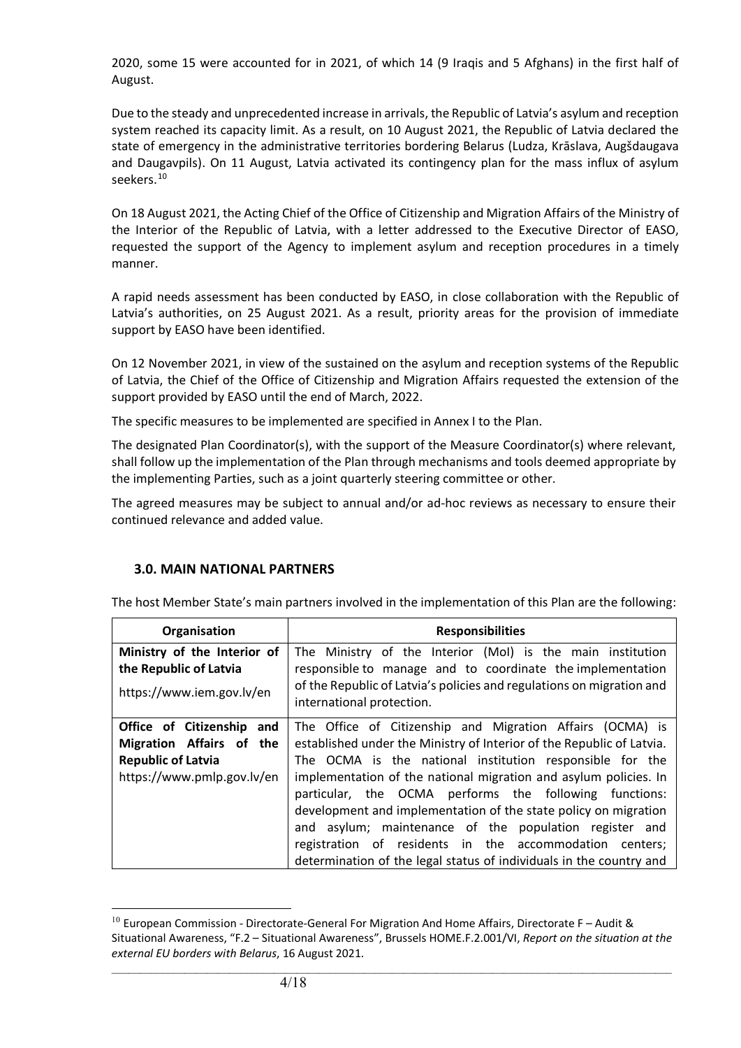2020, some 15 were accounted for in 2021, of which 14 (9 Iraqis and 5 Afghans) in the first half of August.

Due to the steady and unprecedented increase in arrivals, the Republic of Latvia's asylum and reception system reached its capacity limit. As a result, on 10 August 2021, the Republic of Latvia declared the state of emergency in the administrative territories bordering Belarus (Ludza, Krāslava, Augšdaugava and Daugavpils). On 11 August, Latvia activated its contingency plan for the mass influx of asylum seekers.<sup>[10](#page-3-0)</sup>

On 18 August 2021, the Acting Chief of the Office of Citizenship and Migration Affairs of the Ministry of the Interior of the Republic of Latvia, with a letter addressed to the Executive Director of EASO, requested the support of the Agency to implement asylum and reception procedures in a timely manner.

A rapid needs assessment has been conducted by EASO, in close collaboration with the Republic of Latvia's authorities, on 25 August 2021. As a result, priority areas for the provision of immediate support by EASO have been identified.

On 12 November 2021, in view of the sustained on the asylum and reception systems of the Republic of Latvia, the Chief of the Office of Citizenship and Migration Affairs requested the extension of the support provided by EASO until the end of March, 2022.

The specific measures to be implemented are specified in Annex I to the Plan.

The designated Plan Coordinator(s), with the support of the Measure Coordinator(s) where relevant, shall follow up the implementation of the Plan through mechanisms and tools deemed appropriate by the implementing Parties, such as a joint quarterly steering committee or other.

The agreed measures may be subject to annual and/or ad-hoc reviews as necessary to ensure their continued relevance and added value.

#### **3.0. MAIN NATIONAL PARTNERS**

The host Member State's main partners involved in the implementation of this Plan are the following:

| Organisation                | <b>Responsibilities</b>                                                                            |
|-----------------------------|----------------------------------------------------------------------------------------------------|
| Ministry of the Interior of | The Ministry of the Interior (MoI) is the main institution                                         |
| the Republic of Latvia      | responsible to manage and to coordinate the implementation                                         |
| https://www.iem.gov.lv/en   | of the Republic of Latvia's policies and regulations on migration and<br>international protection. |
| Office of Citizenship and   | The Office of Citizenship and Migration Affairs (OCMA) is                                          |
| Migration Affairs of the    | established under the Ministry of Interior of the Republic of Latvia.                              |
| <b>Republic of Latvia</b>   | The OCMA is the national institution responsible for the                                           |
| https://www.pmlp.gov.lv/en  | implementation of the national migration and asylum policies. In                                   |
|                             | particular, the OCMA performs the following functions:                                             |
|                             | development and implementation of the state policy on migration                                    |
|                             | and asylum; maintenance of the population register and                                             |
|                             | registration of residents in the accommodation centers;                                            |
|                             | determination of the legal status of individuals in the country and                                |

<span id="page-3-0"></span> $10$  European Commission - Directorate-General For Migration And Home Affairs, Directorate F – Audit & Situational Awareness, "F.2 – Situational Awareness", Brussels HOME.F.2.001/VI, *Report on the situation at the external EU borders with Belarus*, 16 August 2021.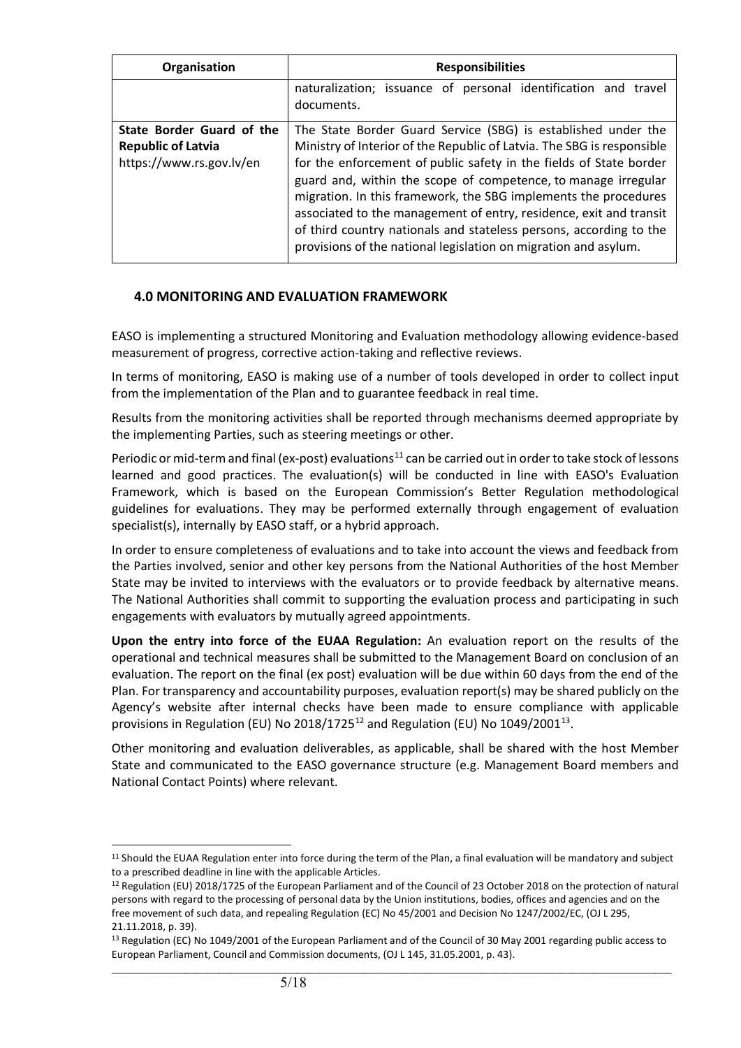| Organisation                                                                       | <b>Responsibilities</b>                                                                                                                                                                                                                                                                                                                                                                                                                                                                                                                                           |
|------------------------------------------------------------------------------------|-------------------------------------------------------------------------------------------------------------------------------------------------------------------------------------------------------------------------------------------------------------------------------------------------------------------------------------------------------------------------------------------------------------------------------------------------------------------------------------------------------------------------------------------------------------------|
|                                                                                    | naturalization; issuance of personal identification and travel<br>documents.                                                                                                                                                                                                                                                                                                                                                                                                                                                                                      |
| State Border Guard of the<br><b>Republic of Latvia</b><br>https://www.rs.gov.lv/en | The State Border Guard Service (SBG) is established under the<br>Ministry of Interior of the Republic of Latvia. The SBG is responsible<br>for the enforcement of public safety in the fields of State border<br>guard and, within the scope of competence, to manage irregular<br>migration. In this framework, the SBG implements the procedures<br>associated to the management of entry, residence, exit and transit<br>of third country nationals and stateless persons, according to the<br>provisions of the national legislation on migration and asylum. |

#### **4.0 MONITORING AND EVALUATION FRAMEWORK**

EASO is implementing a structured Monitoring and Evaluation methodology allowing evidence-based measurement of progress, corrective action-taking and reflective reviews.

In terms of monitoring, EASO is making use of a number of tools developed in order to collect input from the implementation of the Plan and to guarantee feedback in real time.

Results from the monitoring activities shall be reported through mechanisms deemed appropriate by the implementing Parties, such as steering meetings or other.

Periodic or mid-term and final (ex-post) evaluations<sup>[11](#page-4-0)</sup> can be carried out in order to take stock of lessons learned and good practices. The evaluation(s) will be conducted in line with EASO's Evaluation Framework, which is based on the European Commission's Better Regulation methodological guidelines for evaluations. They may be performed externally through engagement of evaluation specialist(s), internally by EASO staff, or a hybrid approach.

In order to ensure completeness of evaluations and to take into account the views and feedback from the Parties involved, senior and other key persons from the National Authorities of the host Member State may be invited to interviews with the evaluators or to provide feedback by alternative means. The National Authorities shall commit to supporting the evaluation process and participating in such engagements with evaluators by mutually agreed appointments.

**Upon the entry into force of the EUAA Regulation:** An evaluation report on the results of the operational and technical measures shall be submitted to the Management Board on conclusion of an evaluation. The report on the final (ex post) evaluation will be due within 60 days from the end of the Plan. For transparency and accountability purposes, evaluation report(s) may be shared publicly on the Agency's website after internal checks have been made to ensure compliance with applicable provisions in Regulation (EU) No 2018/1725<sup>[12](#page-4-1)</sup> and Regulation (EU) No 1049/2001<sup>[13](#page-4-2)</sup>.

Other monitoring and evaluation deliverables, as applicable, shall be shared with the host Member State and communicated to the EASO governance structure (e.g. Management Board members and National Contact Points) where relevant.

<span id="page-4-0"></span><sup>11</sup> Should the EUAA Regulation enter into force during the term of the Plan, a final evaluation will be mandatory and subject to a prescribed deadline in line with the applicable Articles.

<span id="page-4-1"></span><sup>12</sup> Regulation (EU) 2018/1725 of the European Parliament and of the Council of 23 October 2018 on the protection of natural persons with regard to the processing of personal data by the Union institutions, bodies, offices and agencies and on the free movement of such data, and repealing Regulation (EC) No 45/2001 and Decision No 1247/2002/EC, (OJ L 295, 21.11.2018, p. 39).

<span id="page-4-2"></span> $\_$  ,  $\_$  ,  $\_$  ,  $\_$  ,  $\_$  ,  $\_$  ,  $\_$  ,  $\_$  ,  $\_$  ,  $\_$  ,  $\_$  ,  $\_$  ,  $\_$  ,  $\_$  ,  $\_$  ,  $\_$  ,  $\_$  ,  $\_$  ,  $\_$  ,  $\_$  ,  $\_$  ,  $\_$  ,  $\_$  ,  $\_$  ,  $\_$  ,  $\_$  ,  $\_$  ,  $\_$  ,  $\_$  ,  $\_$  ,  $\_$  ,  $\_$  ,  $\_$  ,  $\_$  ,  $\_$  ,  $\_$  ,  $\_$  , <sup>13</sup> Regulation (EC) No 1049/2001 of the European Parliament and of the Council of 30 May 2001 regarding public access to European Parliament, Council and Commission documents, (OJ L 145, 31.05.2001, p. 43).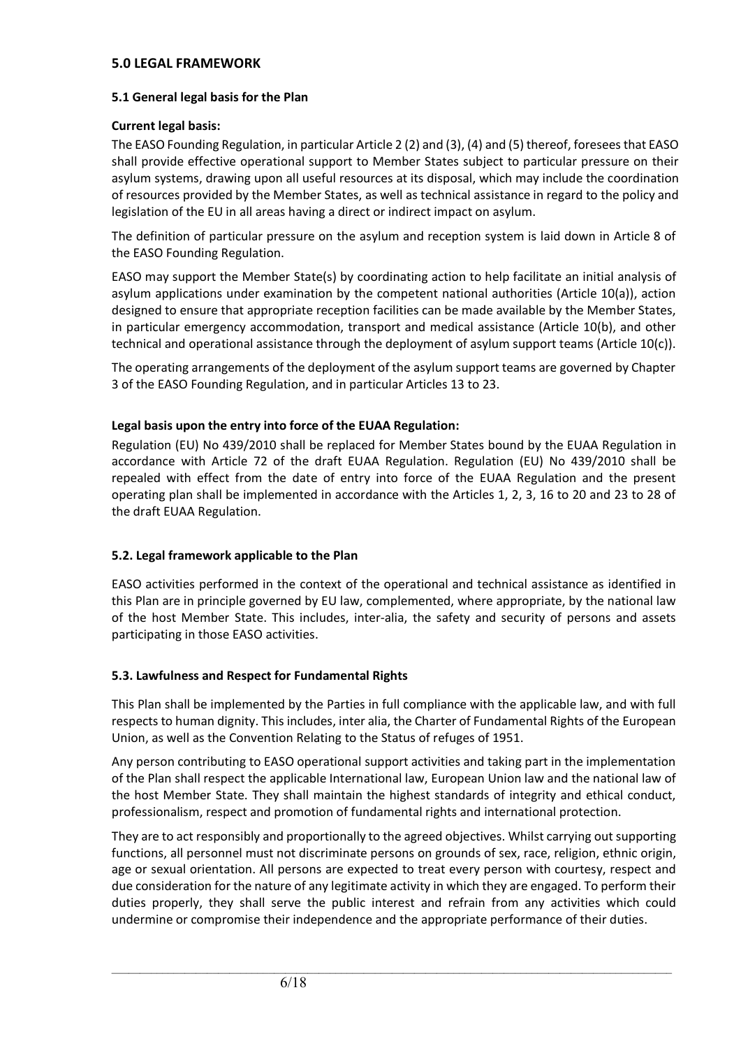#### **5.0 LEGAL FRAMEWORK**

#### **5.1 General legal basis for the Plan**

#### **Current legal basis:**

The EASO Founding Regulation, in particular Article 2 (2) and (3), (4) and (5) thereof, foresees that EASO shall provide effective operational support to Member States subject to particular pressure on their asylum systems, drawing upon all useful resources at its disposal, which may include the coordination of resources provided by the Member States, as well as technical assistance in regard to the policy and legislation of the EU in all areas having a direct or indirect impact on asylum.

The definition of particular pressure on the asylum and reception system is laid down in Article 8 of the EASO Founding Regulation.

EASO may support the Member State(s) by coordinating action to help facilitate an initial analysis of asylum applications under examination by the competent national authorities (Article 10(a)), action designed to ensure that appropriate reception facilities can be made available by the Member States, in particular emergency accommodation, transport and medical assistance (Article 10(b), and other technical and operational assistance through the deployment of asylum support teams (Article 10(c)).

The operating arrangements of the deployment of the asylum support teams are governed by Chapter 3 of the EASO Founding Regulation, and in particular Articles 13 to 23.

#### **Legal basis upon the entry into force of the EUAA Regulation:**

Regulation (EU) No 439/2010 shall be replaced for Member States bound by the EUAA Regulation in accordance with Article 72 of the draft EUAA Regulation. Regulation (EU) No 439/2010 shall be repealed with effect from the date of entry into force of the EUAA Regulation and the present operating plan shall be implemented in accordance with the Articles 1, 2, 3, 16 to 20 and 23 to 28 of the draft EUAA Regulation.

#### **5.2. Legal framework applicable to the Plan**

EASO activities performed in the context of the operational and technical assistance as identified in this Plan are in principle governed by EU law, complemented, where appropriate, by the national law of the host Member State. This includes, inter-alia, the safety and security of persons and assets participating in those EASO activities.

#### **5.3. Lawfulness and Respect for Fundamental Rights**

This Plan shall be implemented by the Parties in full compliance with the applicable law, and with full respects to human dignity. This includes, inter alia, the Charter of Fundamental Rights of the European Union, as well as the Convention Relating to the Status of refuges of 1951.

Any person contributing to EASO operational support activities and taking part in the implementation of the Plan shall respect the applicable International law, European Union law and the national law of the host Member State. They shall maintain the highest standards of integrity and ethical conduct, professionalism, respect and promotion of fundamental rights and international protection.

They are to act responsibly and proportionally to the agreed objectives. Whilst carrying out supporting functions, all personnel must not discriminate persons on grounds of sex, race, religion, ethnic origin, age or sexual orientation. All persons are expected to treat every person with courtesy, respect and due consideration for the nature of any legitimate activity in which they are engaged. To perform their duties properly, they shall serve the public interest and refrain from any activities which could undermine or compromise their independence and the appropriate performance of their duties.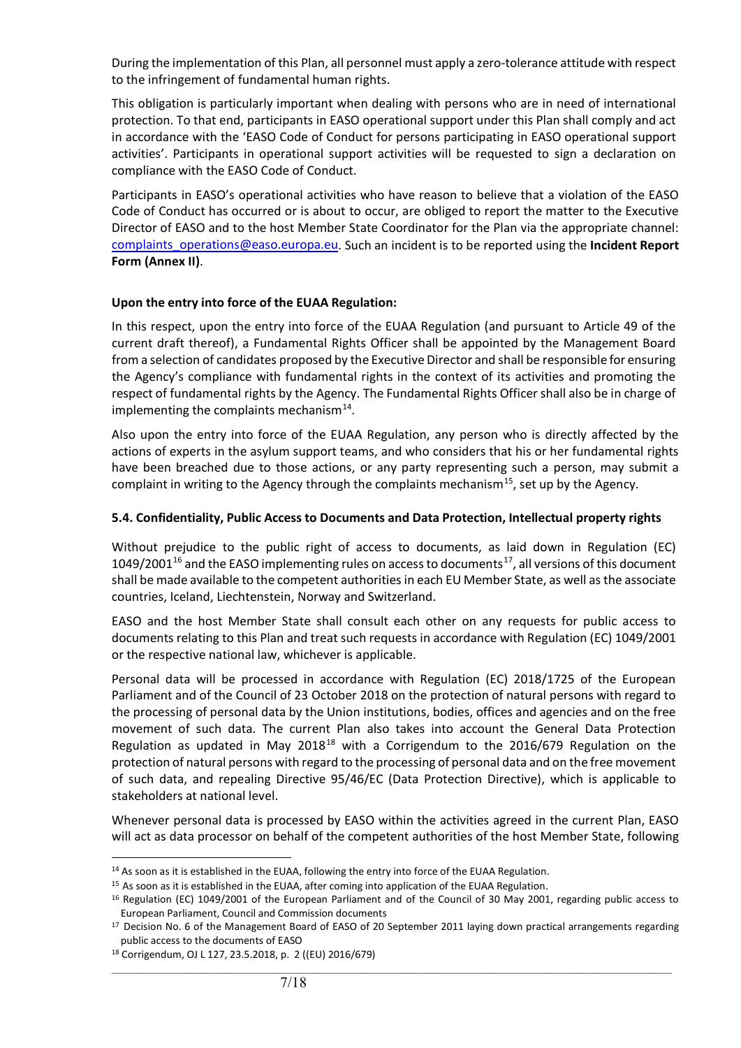During the implementation of this Plan, all personnel must apply a zero-tolerance attitude with respect to the infringement of fundamental human rights.

This obligation is particularly important when dealing with persons who are in need of international protection. To that end, participants in EASO operational support under this Plan shall comply and act in accordance with the 'EASO Code of Conduct for persons participating in EASO operational support activities'. Participants in operational support activities will be requested to sign a declaration on compliance with the EASO Code of Conduct.

Participants in EASO's operational activities who have reason to believe that a violation of the EASO Code of Conduct has occurred or is about to occur, are obliged to report the matter to the Executive Director of EASO and to the host Member State Coordinator for the Plan via the appropriate channel: [complaints\\_operations@easo.europa.eu.](mailto:complaints_operations@easo.europa.eu) Such an incident is to be reported using the **Incident Report Form (Annex II)**.

#### **Upon the entry into force of the EUAA Regulation:**

In this respect, upon the entry into force of the EUAA Regulation (and pursuant to Article 49 of the current draft thereof), a Fundamental Rights Officer shall be appointed by the Management Board from a selection of candidates proposed by the Executive Director and shall be responsible for ensuring the Agency's compliance with fundamental rights in the context of its activities and promoting the respect of fundamental rights by the Agency. The Fundamental Rights Officer shall also be in charge of implementing the complaints mechanism $^{14}$ .

Also upon the entry into force of the EUAA Regulation, any person who is directly affected by the actions of experts in the asylum support teams, and who considers that his or her fundamental rights have been breached due to those actions, or any party representing such a person, may submit a complaint in writing to the Agency through the complaints mechanism<sup>[15](#page-6-1)</sup>, set up by the Agency.

#### **5.4. Confidentiality, Public Access to Documents and Data Protection, Intellectual property rights**

Without prejudice to the public right of access to documents, as laid down in Regulation (EC)  $1049/2001^{16}$  $1049/2001^{16}$  $1049/2001^{16}$  and the EASO implementing rules on access to documents<sup>[17](#page-6-3)</sup>, all versions of this document shall be made available to the competent authorities in each EU Member State, as well as the associate countries, Iceland, Liechtenstein, Norway and Switzerland.

EASO and the host Member State shall consult each other on any requests for public access to documents relating to this Plan and treat such requests in accordance with Regulation (EC) 1049/2001 or the respective national law, whichever is applicable.

Personal data will be processed in accordance with Regulation (EC) 2018/1725 of the European Parliament and of the Council of 23 October 2018 on the protection of natural persons with regard to the processing of personal data by the Union institutions, bodies, offices and agencies and on the free movement of such data. The current Plan also takes into account the General Data Protection Regulation as updated in May 20[18](#page-6-4)<sup>18</sup> with a Corrigendum to the 2016/679 Regulation on the protection of natural persons with regard to the processing of personal data and on the free movement of such data, and repealing Directive 95/46/EC (Data Protection Directive), which is applicable to stakeholders at national level.

Whenever personal data is processed by EASO within the activities agreed in the current Plan, EASO will act as data processor on behalf of the competent authorities of the host Member State, following

<span id="page-6-0"></span><sup>&</sup>lt;sup>14</sup> As soon as it is established in the EUAA, following the entry into force of the EUAA Regulation.

<span id="page-6-1"></span><sup>&</sup>lt;sup>15</sup> As soon as it is established in the EUAA, after coming into application of the EUAA Regulation.

<span id="page-6-2"></span><sup>&</sup>lt;sup>16</sup> Regulation (EC) 1049/2001 of the European Parliament and of the Council of 30 May 2001, regarding public access to European Parliament, Council and Commission documents

<span id="page-6-3"></span><sup>&</sup>lt;sup>17</sup> Decision No. 6 of the Management Board of EASO of 20 September 2011 laying down practical arrangements regarding public access to the documents of EASO

<span id="page-6-4"></span><sup>18</sup> Corrigendum, OJ L 127, 23.5.2018, p. 2 ((EU) 2016/679)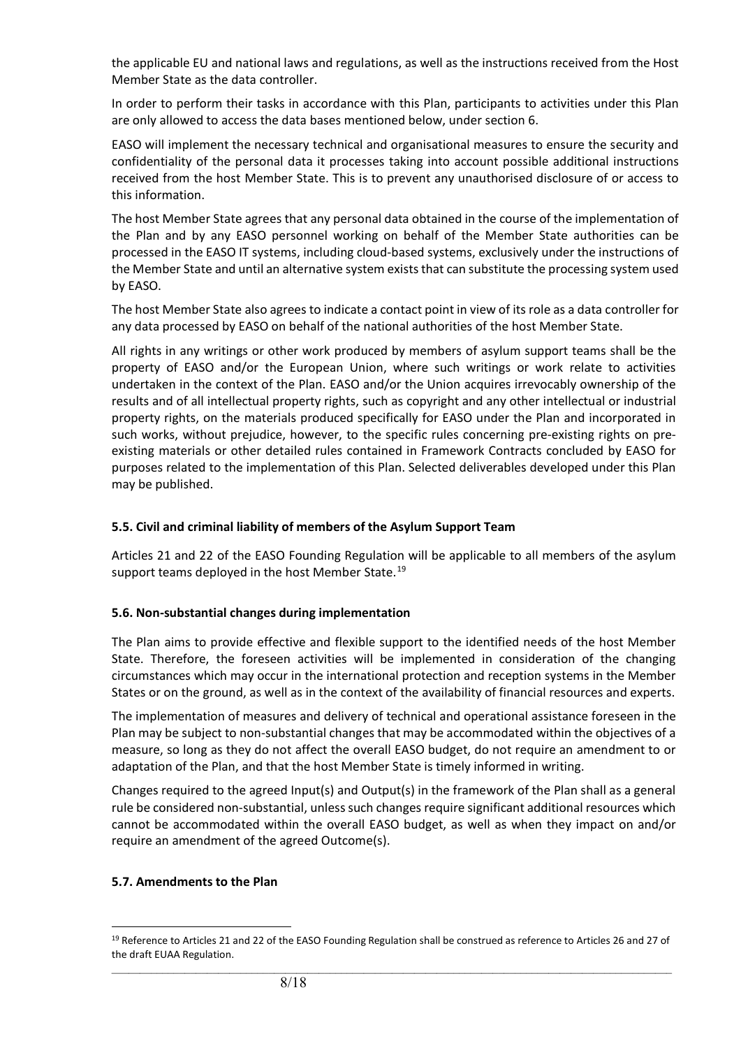the applicable EU and national laws and regulations, as well as the instructions received from the Host Member State as the data controller.

In order to perform their tasks in accordance with this Plan, participants to activities under this Plan are only allowed to access the data bases mentioned below, under section 6.

EASO will implement the necessary technical and organisational measures to ensure the security and confidentiality of the personal data it processes taking into account possible additional instructions received from the host Member State. This is to prevent any unauthorised disclosure of or access to this information.

The host Member State agrees that any personal data obtained in the course of the implementation of the Plan and by any EASO personnel working on behalf of the Member State authorities can be processed in the EASO IT systems, including cloud-based systems, exclusively under the instructions of the Member State and until an alternative system exists that can substitute the processing system used by EASO.

The host Member State also agrees to indicate a contact point in view of its role as a data controller for any data processed by EASO on behalf of the national authorities of the host Member State.

All rights in any writings or other work produced by members of asylum support teams shall be the property of EASO and/or the European Union, where such writings or work relate to activities undertaken in the context of the Plan. EASO and/or the Union acquires irrevocably ownership of the results and of all intellectual property rights, such as copyright and any other intellectual or industrial property rights, on the materials produced specifically for EASO under the Plan and incorporated in such works, without prejudice, however, to the specific rules concerning pre-existing rights on preexisting materials or other detailed rules contained in Framework Contracts concluded by EASO for purposes related to the implementation of this Plan. Selected deliverables developed under this Plan may be published.

#### **5.5. Civil and criminal liability of members of the Asylum Support Team**

Articles 21 and 22 of the EASO Founding Regulation will be applicable to all members of the asylum support teams deployed in the host Member State.<sup>[19](#page-7-0)</sup>

#### **5.6. Non-substantial changes during implementation**

The Plan aims to provide effective and flexible support to the identified needs of the host Member State. Therefore, the foreseen activities will be implemented in consideration of the changing circumstances which may occur in the international protection and reception systems in the Member States or on the ground, as well as in the context of the availability of financial resources and experts.

The implementation of measures and delivery of technical and operational assistance foreseen in the Plan may be subject to non-substantial changes that may be accommodated within the objectives of a measure, so long as they do not affect the overall EASO budget, do not require an amendment to or adaptation of the Plan, and that the host Member State is timely informed in writing.

Changes required to the agreed Input(s) and Output(s) in the framework of the Plan shall as a general rule be considered non-substantial, unless such changes require significant additional resources which cannot be accommodated within the overall EASO budget, as well as when they impact on and/or require an amendment of the agreed Outcome(s).

#### **5.7. Amendments to the Plan**

<span id="page-7-0"></span> $\_$  ,  $\_$  ,  $\_$  ,  $\_$  ,  $\_$  ,  $\_$  ,  $\_$  ,  $\_$  ,  $\_$  ,  $\_$  ,  $\_$  ,  $\_$  ,  $\_$  ,  $\_$  ,  $\_$  ,  $\_$  ,  $\_$  ,  $\_$  ,  $\_$  ,  $\_$  ,  $\_$  ,  $\_$  ,  $\_$  ,  $\_$  ,  $\_$  ,  $\_$  ,  $\_$  ,  $\_$  ,  $\_$  ,  $\_$  ,  $\_$  ,  $\_$  ,  $\_$  ,  $\_$  ,  $\_$  ,  $\_$  ,  $\_$  , <sup>19</sup> Reference to Articles 21 and 22 of the EASO Founding Regulation shall be construed as reference to Articles 26 and 27 of the draft EUAA Regulation.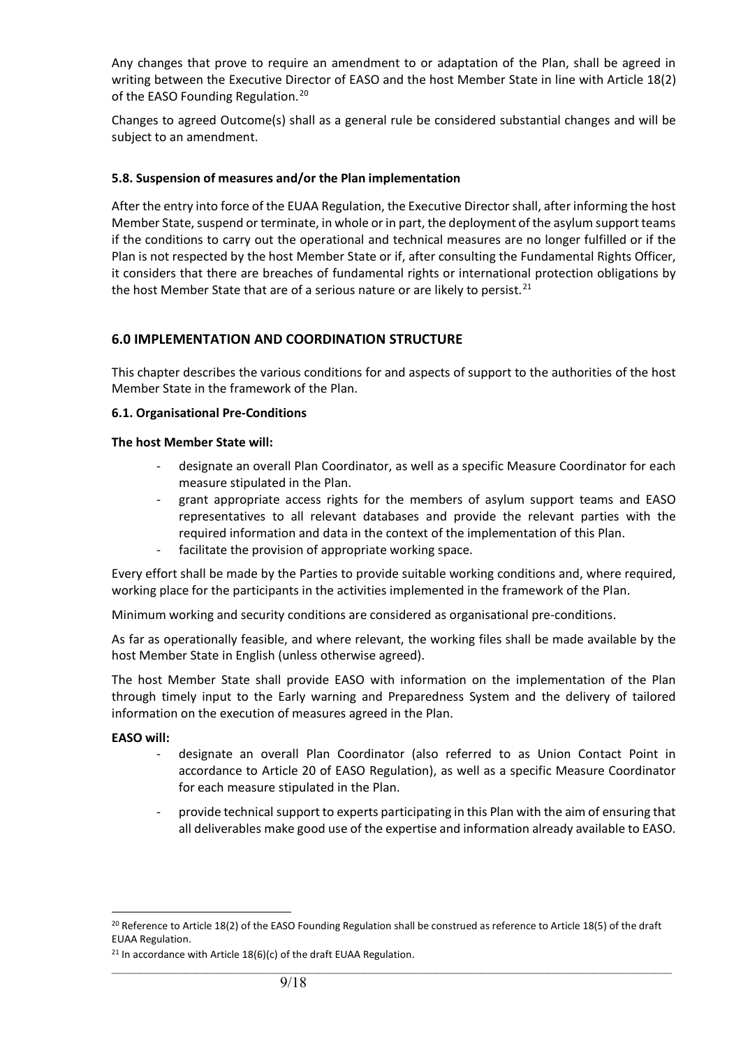Any changes that prove to require an amendment to or adaptation of the Plan, shall be agreed in writing between the Executive Director of EASO and the host Member State in line with Article 18(2) of the EASO Founding Regulation.<sup>[20](#page-8-0)</sup>

Changes to agreed Outcome(s) shall as a general rule be considered substantial changes and will be subject to an amendment.

#### **5.8. Suspension of measures and/or the Plan implementation**

After the entry into force of the EUAA Regulation, the Executive Director shall, after informing the host Member State, suspend or terminate, in whole or in part, the deployment of the asylum support teams if the conditions to carry out the operational and technical measures are no longer fulfilled or if the Plan is not respected by the host Member State or if, after consulting the Fundamental Rights Officer, it considers that there are breaches of fundamental rights or international protection obligations by the host Member State that are of a serious nature or are likely to persist.<sup>[21](#page-8-1)</sup>

#### **6.0 IMPLEMENTATION AND COORDINATION STRUCTURE**

This chapter describes the various conditions for and aspects of support to the authorities of the host Member State in the framework of the Plan.

#### **6.1. Organisational Pre-Conditions**

#### **The host Member State will:**

- designate an overall Plan Coordinator, as well as a specific Measure Coordinator for each measure stipulated in the Plan.
- grant appropriate access rights for the members of asylum support teams and EASO representatives to all relevant databases and provide the relevant parties with the required information and data in the context of the implementation of this Plan.
- facilitate the provision of appropriate working space.

Every effort shall be made by the Parties to provide suitable working conditions and, where required, working place for the participants in the activities implemented in the framework of the Plan.

Minimum working and security conditions are considered as organisational pre-conditions.

As far as operationally feasible, and where relevant, the working files shall be made available by the host Member State in English (unless otherwise agreed).

The host Member State shall provide EASO with information on the implementation of the Plan through timely input to the Early warning and Preparedness System and the delivery of tailored information on the execution of measures agreed in the Plan.

#### **EASO will:**

- designate an overall Plan Coordinator (also referred to as Union Contact Point in accordance to Article 20 of EASO Regulation), as well as a specific Measure Coordinator for each measure stipulated in the Plan.
- provide technical support to experts participating in this Plan with the aim of ensuring that all deliverables make good use of the expertise and information already available to EASO.

<span id="page-8-0"></span><sup>&</sup>lt;sup>20</sup> Reference to Article 18(2) of the EASO Founding Regulation shall be construed as reference to Article 18(5) of the draft EUAA Regulation.

<span id="page-8-1"></span><sup>&</sup>lt;sup>21</sup> In accordance with Article  $18(6)(c)$  of the draft EUAA Regulation.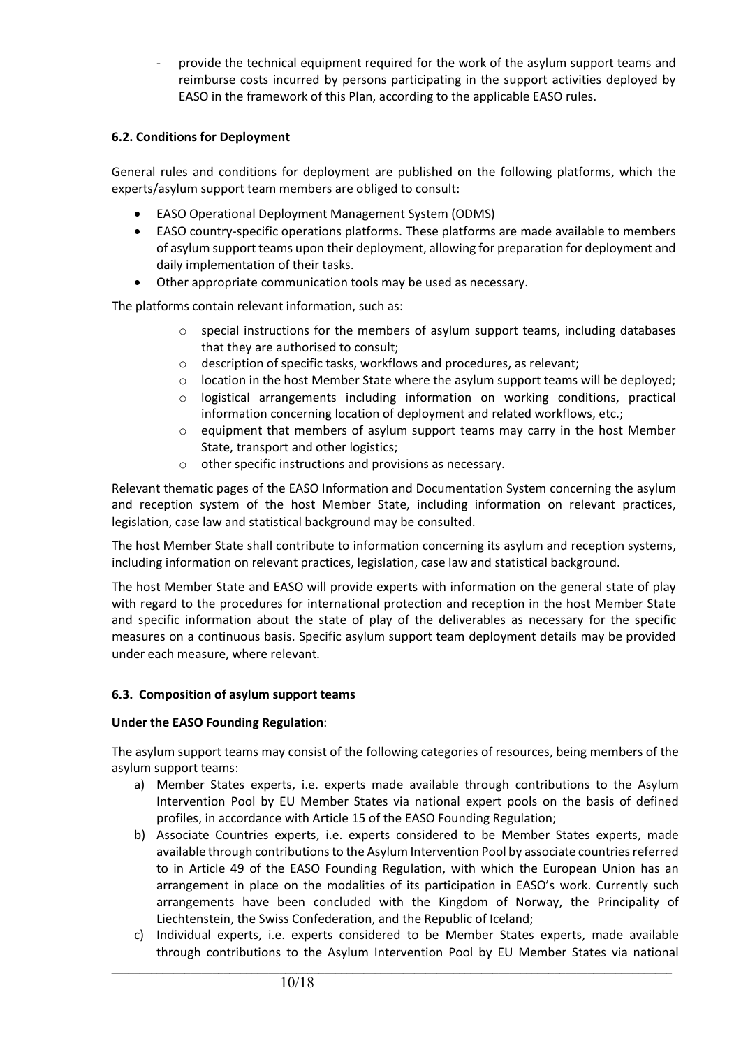provide the technical equipment required for the work of the asylum support teams and reimburse costs incurred by persons participating in the support activities deployed by EASO in the framework of this Plan, according to the applicable EASO rules.

#### **6.2. Conditions for Deployment**

General rules and conditions for deployment are published on the following platforms, which the experts/asylum support team members are obliged to consult:

- EASO Operational Deployment Management System (ODMS)
- EASO country-specific operations platforms. These platforms are made available to members of asylum support teams upon their deployment, allowing for preparation for deployment and daily implementation of their tasks.
- Other appropriate communication tools may be used as necessary.

The platforms contain relevant information, such as:

- $\circ$  special instructions for the members of asylum support teams, including databases that they are authorised to consult;
- o description of specific tasks, workflows and procedures, as relevant;
- $\circ$  location in the host Member State where the asylum support teams will be deployed;
- $\circ$  logistical arrangements including information on working conditions, practical information concerning location of deployment and related workflows, etc.;
- $\circ$  equipment that members of asylum support teams may carry in the host Member State, transport and other logistics;
- o other specific instructions and provisions as necessary.

Relevant thematic pages of the EASO Information and Documentation System concerning the asylum and reception system of the host Member State, including information on relevant practices, legislation, case law and statistical background may be consulted.

The host Member State shall contribute to information concerning its asylum and reception systems, including information on relevant practices, legislation, case law and statistical background.

The host Member State and EASO will provide experts with information on the general state of play with regard to the procedures for international protection and reception in the host Member State and specific information about the state of play of the deliverables as necessary for the specific measures on a continuous basis. Specific asylum support team deployment details may be provided under each measure, where relevant.

#### **6.3. Composition of asylum support teams**

#### **Under the EASO Founding Regulation**:

The asylum support teams may consist of the following categories of resources, being members of the asylum support teams:

- a) Member States experts, i.e. experts made available through contributions to the Asylum Intervention Pool by EU Member States via national expert pools on the basis of defined profiles, in accordance with Article 15 of the EASO Founding Regulation;
- b) Associate Countries experts, i.e. experts considered to be Member States experts, made available through contributions to the Asylum Intervention Pool by associate countries referred to in Article 49 of the EASO Founding Regulation, with which the European Union has an arrangement in place on the modalities of its participation in EASO's work. Currently such arrangements have been concluded with the Kingdom of Norway, the Principality of Liechtenstein, the Swiss Confederation, and the Republic of Iceland;
- c) Individual experts, i.e. experts considered to be Member States experts, made available through contributions to the Asylum Intervention Pool by EU Member States via national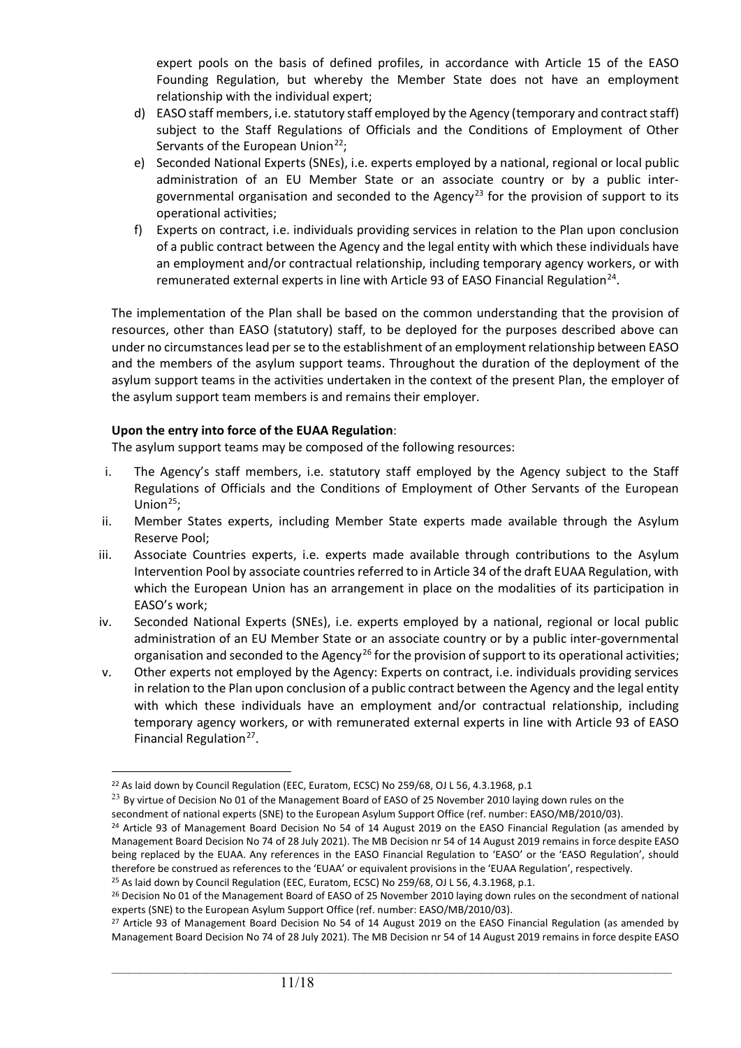expert pools on the basis of defined profiles, in accordance with Article 15 of the EASO Founding Regulation, but whereby the Member State does not have an employment relationship with the individual expert;

- d) EASO staff members, i.e. statutory staff employed by the Agency (temporary and contract staff) subject to the Staff Regulations of Officials and the Conditions of Employment of Other Servants of the European Union<sup>[22](#page-10-0)</sup>;
- e) Seconded National Experts (SNEs), i.e. experts employed by a national, regional or local public administration of an EU Member State or an associate country or by a public inter-governmental organisation and seconded to the Agency<sup>[23](#page-10-1)</sup> for the provision of support to its operational activities;
- f) Experts on contract, i.e. individuals providing services in relation to the Plan upon conclusion of a public contract between the Agency and the legal entity with which these individuals have an employment and/or contractual relationship, including temporary agency workers, or with remunerated external experts in line with Article 93 of EASO Financial Regulation<sup>[24](#page-10-2)</sup>.

The implementation of the Plan shall be based on the common understanding that the provision of resources, other than EASO (statutory) staff, to be deployed for the purposes described above can under no circumstances lead per se to the establishment of an employment relationship between EASO and the members of the asylum support teams. Throughout the duration of the deployment of the asylum support teams in the activities undertaken in the context of the present Plan, the employer of the asylum support team members is and remains their employer.

#### **Upon the entry into force of the EUAA Regulation**:

The asylum support teams may be composed of the following resources:

- i. The Agency's staff members, i.e. statutory staff employed by the Agency subject to the Staff Regulations of Officials and the Conditions of Employment of Other Servants of the European Union $^{25}$  $^{25}$  $^{25}$ ;
- ii. Member States experts, including Member State experts made available through the Asylum Reserve Pool;
- iii. Associate Countries experts, i.e. experts made available through contributions to the Asylum Intervention Pool by associate countries referred to in Article 34 of the draft EUAA Regulation, with which the European Union has an arrangement in place on the modalities of its participation in EASO's work;
- iv. Seconded National Experts (SNEs), i.e. experts employed by a national, regional or local public administration of an EU Member State or an associate country or by a public inter-governmental organisation and seconded to the Agency<sup>[26](#page-10-4)</sup> for the provision of support to its operational activities;
- v. Other experts not employed by the Agency: Experts on contract, i.e. individuals providing services in relation to the Plan upon conclusion of a public contract between the Agency and the legal entity with which these individuals have an employment and/or contractual relationship, including temporary agency workers, or with remunerated external experts in line with Article 93 of EASO Financial Regulation<sup>[27](#page-10-5)</sup>.

<span id="page-10-0"></span><sup>&</sup>lt;sup>22</sup> As laid down by Council Regulation (EEC, Euratom, ECSC) No 259/68, OJ L 56, 4.3.1968, p.1

<span id="page-10-1"></span> $^{23}$  By virtue of Decision No 01 of the Management Board of EASO of 25 November 2010 laying down rules on the secondment of national experts (SNE) to the European Asylum Support Office (ref. number: EASO/MB/2010/03).

<span id="page-10-2"></span> $24$  Article 93 of Management Board Decision No 54 of 14 August 2019 on the EASO Financial Regulation (as amended by Management Board Decision No 74 of 28 July 2021). The MB Decision nr 54 of 14 August 2019 remains in force despite EASO being replaced by the EUAA. Any references in the EASO Financial Regulation to 'EASO' or the 'EASO Regulation', should therefore be construed as references to the 'EUAA' or equivalent provisions in the 'EUAA Regulation', respectively.

<span id="page-10-3"></span><sup>&</sup>lt;sup>25</sup> As laid down by Council Regulation (EEC, Euratom, ECSC) No 259/68, OJ L 56, 4.3.1968, p.1.

<span id="page-10-4"></span><sup>&</sup>lt;sup>26</sup> Decision No 01 of the Management Board of EASO of 25 November 2010 laying down rules on the secondment of national experts (SNE) to the European Asylum Support Office (ref. number: EASO/MB/2010/03).

<span id="page-10-5"></span><sup>&</sup>lt;sup>27</sup> Article 93 of Management Board Decision No 54 of 14 August 2019 on the EASO Financial Regulation (as amended by Management Board Decision No 74 of 28 July 2021). The MB Decision nr 54 of 14 August 2019 remains in force despite EASO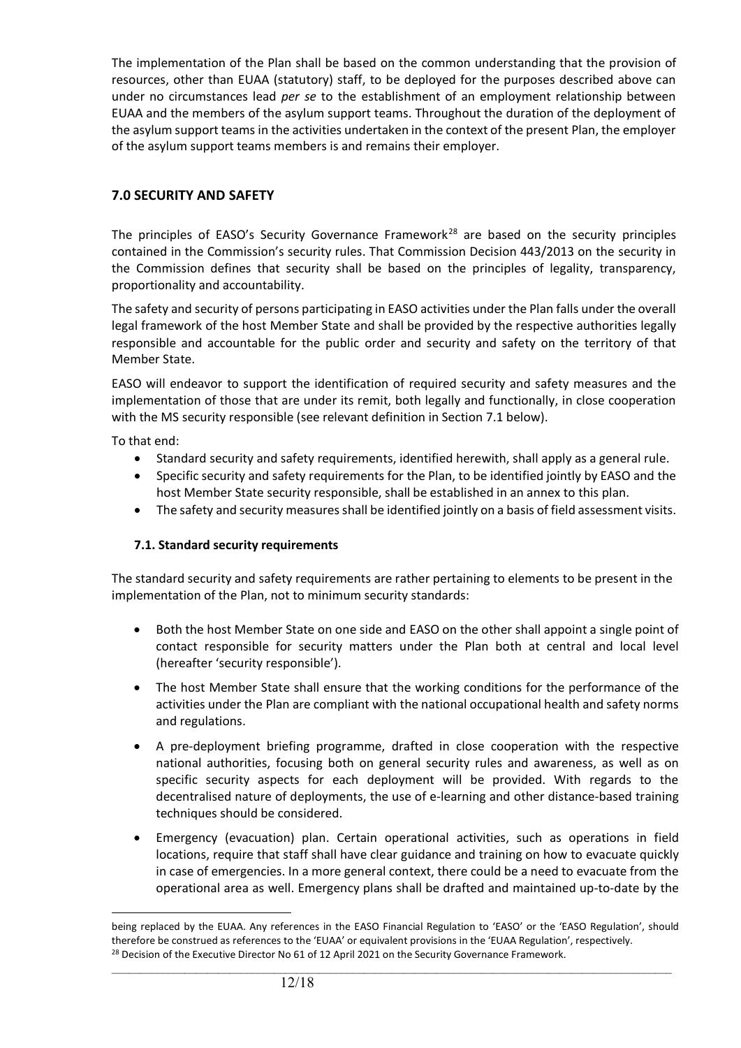The implementation of the Plan shall be based on the common understanding that the provision of resources, other than EUAA (statutory) staff, to be deployed for the purposes described above can under no circumstances lead *per se* to the establishment of an employment relationship between EUAA and the members of the asylum support teams. Throughout the duration of the deployment of the asylum support teams in the activities undertaken in the context of the present Plan, the employer of the asylum support teams members is and remains their employer.

# **7.0 SECURITY AND SAFETY**

The principles of EASO's Security Governance Framework<sup>[28](#page-11-0)</sup> are based on the security principles contained in the Commission's security rules. That Commission Decision 443/2013 on the security in the Commission defines that security shall be based on the principles of legality, transparency, proportionality and accountability.

The safety and security of persons participating in EASO activities under the Plan falls under the overall legal framework of the host Member State and shall be provided by the respective authorities legally responsible and accountable for the public order and security and safety on the territory of that Member State.

EASO will endeavor to support the identification of required security and safety measures and the implementation of those that are under its remit, both legally and functionally, in close cooperation with the MS security responsible (see relevant definition in Section 7.1 below).

To that end:

- Standard security and safety requirements, identified herewith, shall apply as a general rule.
- Specific security and safety requirements for the Plan, to be identified jointly by EASO and the host Member State security responsible, shall be established in an annex to this plan.
- The safety and security measures shall be identified jointly on a basis of field assessment visits.

#### **7.1. Standard security requirements**

The standard security and safety requirements are rather pertaining to elements to be present in the implementation of the Plan, not to minimum security standards:

- Both the host Member State on one side and EASO on the other shall appoint a single point of contact responsible for security matters under the Plan both at central and local level (hereafter 'security responsible').
- The host Member State shall ensure that the working conditions for the performance of the activities under the Plan are compliant with the national occupational health and safety norms and regulations.
- A pre-deployment briefing programme, drafted in close cooperation with the respective national authorities, focusing both on general security rules and awareness, as well as on specific security aspects for each deployment will be provided. With regards to the decentralised nature of deployments, the use of e-learning and other distance-based training techniques should be considered.
- Emergency (evacuation) plan. Certain operational activities, such as operations in field locations, require that staff shall have clear guidance and training on how to evacuate quickly in case of emergencies. In a more general context, there could be a need to evacuate from the operational area as well. Emergency plans shall be drafted and maintained up-to-date by the

<span id="page-11-0"></span>being replaced by the EUAA. Any references in the EASO Financial Regulation to 'EASO' or the 'EASO Regulation', should therefore be construed as references to the 'EUAA' or equivalent provisions in the 'EUAA Regulation', respectively. <sup>28</sup> Decision of the Executive Director No 61 of 12 April 2021 on the Security Governance Framework.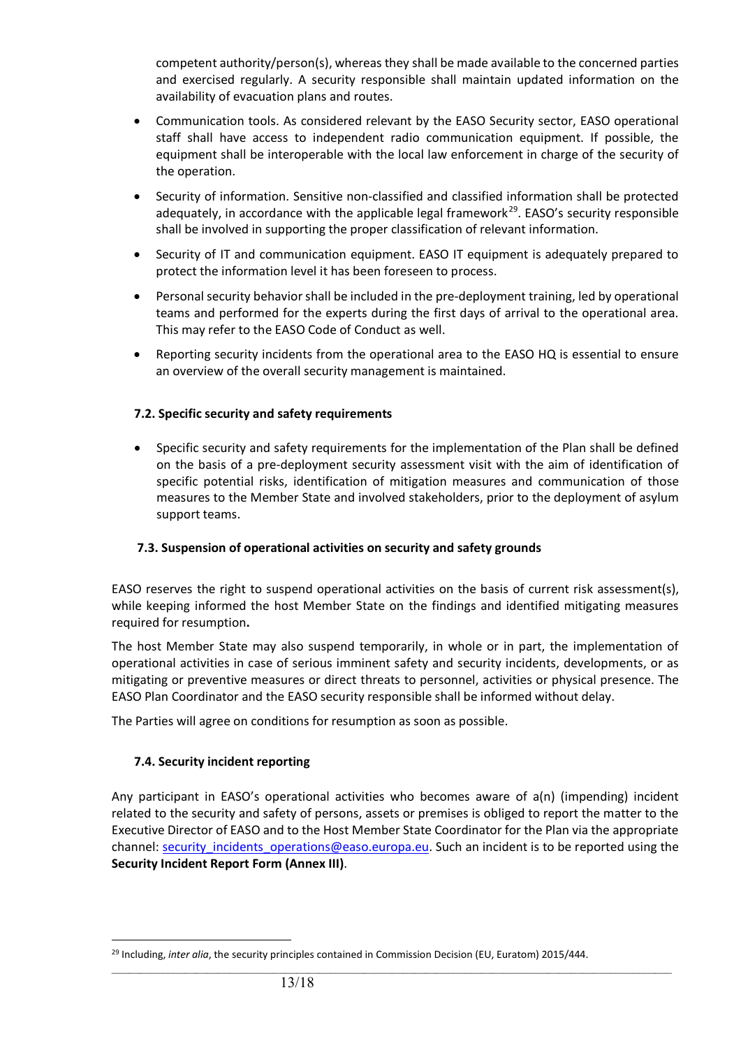competent authority/person(s), whereas they shall be made available to the concerned parties and exercised regularly. A security responsible shall maintain updated information on the availability of evacuation plans and routes.

- Communication tools. As considered relevant by the EASO Security sector, EASO operational staff shall have access to independent radio communication equipment. If possible, the equipment shall be interoperable with the local law enforcement in charge of the security of the operation.
- Security of information. Sensitive non-classified and classified information shall be protected adequately, in accordance with the applicable legal framework<sup>[29](#page-12-0)</sup>. EASO's security responsible shall be involved in supporting the proper classification of relevant information.
- Security of IT and communication equipment. EASO IT equipment is adequately prepared to protect the information level it has been foreseen to process.
- Personal security behavior shall be included in the pre-deployment training, led by operational teams and performed for the experts during the first days of arrival to the operational area. This may refer to the EASO Code of Conduct as well.
- Reporting security incidents from the operational area to the EASO HQ is essential to ensure an overview of the overall security management is maintained.

#### **7.2. Specific security and safety requirements**

• Specific security and safety requirements for the implementation of the Plan shall be defined on the basis of a pre-deployment security assessment visit with the aim of identification of specific potential risks, identification of mitigation measures and communication of those measures to the Member State and involved stakeholders, prior to the deployment of asylum support teams.

#### **7.3. Suspension of operational activities on security and safety grounds**

EASO reserves the right to suspend operational activities on the basis of current risk assessment(s), while keeping informed the host Member State on the findings and identified mitigating measures required for resumption**.**

The host Member State may also suspend temporarily, in whole or in part, the implementation of operational activities in case of serious imminent safety and security incidents, developments, or as mitigating or preventive measures or direct threats to personnel, activities or physical presence. The EASO Plan Coordinator and the EASO security responsible shall be informed without delay.

The Parties will agree on conditions for resumption as soon as possible.

#### **7.4. Security incident reporting**

Any participant in EASO's operational activities who becomes aware of a(n) (impending) incident related to the security and safety of persons, assets or premises is obliged to report the matter to the Executive Director of EASO and to the Host Member State Coordinator for the Plan via the appropriate channel: security incidents operations@easo.europa.eu. Such an incident is to be reported using the **Security Incident Report Form (Annex III)**.

<span id="page-12-0"></span><sup>&</sup>lt;sup>29</sup> Including, *inter alia*, the security principles contained in Commission Decision (EU, Euratom) 2015/444.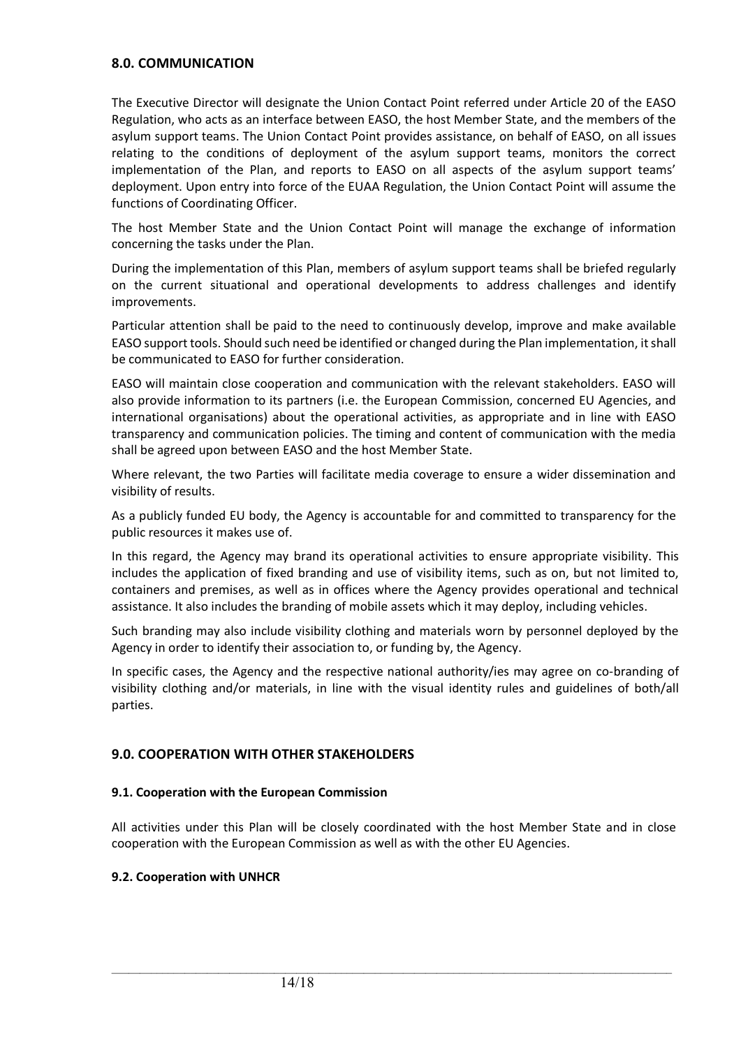#### **8.0. COMMUNICATION**

The Executive Director will designate the Union Contact Point referred under Article 20 of the EASO Regulation, who acts as an interface between EASO, the host Member State, and the members of the asylum support teams. The Union Contact Point provides assistance, on behalf of EASO, on all issues relating to the conditions of deployment of the asylum support teams, monitors the correct implementation of the Plan, and reports to EASO on all aspects of the asylum support teams' deployment. Upon entry into force of the EUAA Regulation, the Union Contact Point will assume the functions of Coordinating Officer.

The host Member State and the Union Contact Point will manage the exchange of information concerning the tasks under the Plan.

During the implementation of this Plan, members of asylum support teams shall be briefed regularly on the current situational and operational developments to address challenges and identify improvements.

Particular attention shall be paid to the need to continuously develop, improve and make available EASO support tools. Should such need be identified or changed during the Plan implementation, it shall be communicated to EASO for further consideration.

EASO will maintain close cooperation and communication with the relevant stakeholders. EASO will also provide information to its partners (i.e. the European Commission, concerned EU Agencies, and international organisations) about the operational activities, as appropriate and in line with EASO transparency and communication policies. The timing and content of communication with the media shall be agreed upon between EASO and the host Member State.

Where relevant, the two Parties will facilitate media coverage to ensure a wider dissemination and visibility of results.

As a publicly funded EU body, the Agency is accountable for and committed to transparency for the public resources it makes use of.

In this regard, the Agency may brand its operational activities to ensure appropriate visibility. This includes the application of fixed branding and use of visibility items, such as on, but not limited to, containers and premises, as well as in offices where the Agency provides operational and technical assistance. It also includes the branding of mobile assets which it may deploy, including vehicles.

Such branding may also include visibility clothing and materials worn by personnel deployed by the Agency in order to identify their association to, or funding by, the Agency.

In specific cases, the Agency and the respective national authority/ies may agree on co-branding of visibility clothing and/or materials, in line with the visual identity rules and guidelines of both/all parties.

#### **9.0. COOPERATION WITH OTHER STAKEHOLDERS**

#### **9.1. Cooperation with the European Commission**

All activities under this Plan will be closely coordinated with the host Member State and in close cooperation with the European Commission as well as with the other EU Agencies.

 $\_$  ,  $\_$  ,  $\_$  ,  $\_$  ,  $\_$  ,  $\_$  ,  $\_$  ,  $\_$  ,  $\_$  ,  $\_$  ,  $\_$  ,  $\_$  ,  $\_$  ,  $\_$  ,  $\_$  ,  $\_$  ,  $\_$  ,  $\_$  ,  $\_$  ,  $\_$  ,  $\_$  ,  $\_$  ,  $\_$  ,  $\_$  ,  $\_$  ,  $\_$  ,  $\_$  ,  $\_$  ,  $\_$  ,  $\_$  ,  $\_$  ,  $\_$  ,  $\_$  ,  $\_$  ,  $\_$  ,  $\_$  ,  $\_$  ,

#### **9.2. Cooperation with UNHCR**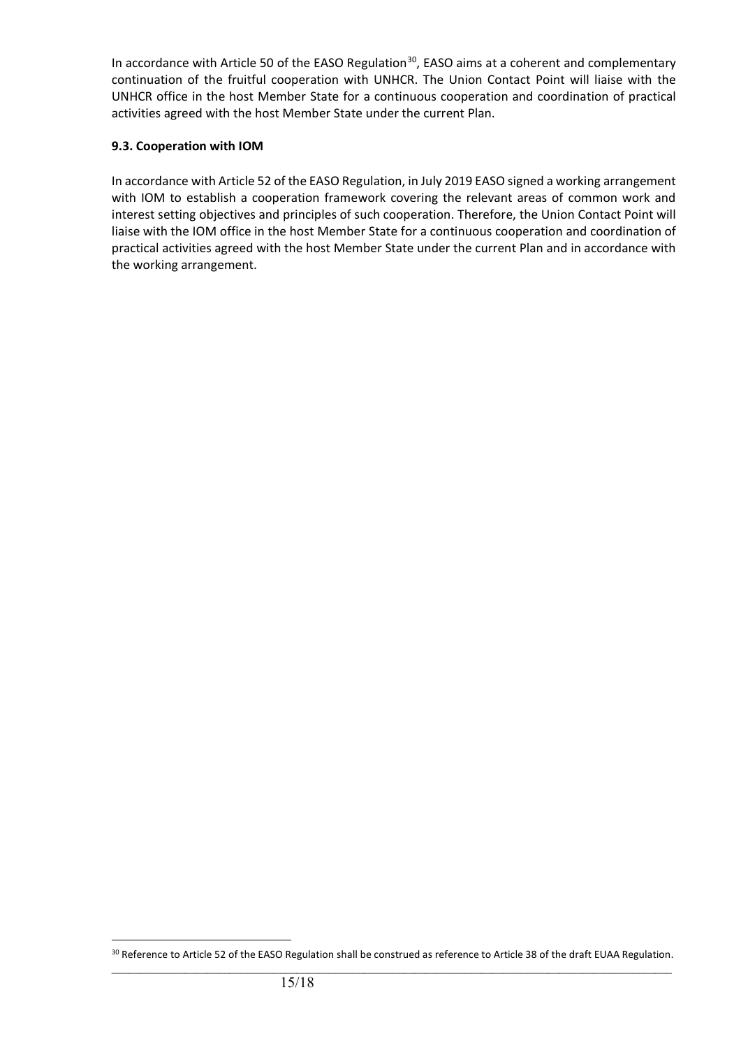In accordance with Article 50 of the EASO Regulation<sup>30</sup>, EASO aims at a coherent and complementary continuation of the fruitful cooperation with UNHCR. The Union Contact Point will liaise with the UNHCR office in the host Member State for a continuous cooperation and coordination of practical activities agreed with the host Member State under the current Plan.

#### **9.3. Cooperation with IOM**

In accordance with Article 52 of the EASO Regulation, in July 2019 EASO signed a working arrangement with IOM to establish a cooperation framework covering the relevant areas of common work and interest setting objectives and principles of such cooperation. Therefore, the Union Contact Point will liaise with the IOM office in the host Member State for a continuous cooperation and coordination of practical activities agreed with the host Member State under the current Plan and in accordance with the working arrangement.

<span id="page-14-0"></span> $\_$  ,  $\_$  ,  $\_$  ,  $\_$  ,  $\_$  ,  $\_$  ,  $\_$  ,  $\_$  ,  $\_$  ,  $\_$  ,  $\_$  ,  $\_$  ,  $\_$  ,  $\_$  ,  $\_$  ,  $\_$  ,  $\_$  ,  $\_$  ,  $\_$  ,  $\_$  ,  $\_$  ,  $\_$  ,  $\_$  ,  $\_$  ,  $\_$  ,  $\_$  ,  $\_$  ,  $\_$  ,  $\_$  ,  $\_$  ,  $\_$  ,  $\_$  ,  $\_$  ,  $\_$  ,  $\_$  ,  $\_$  ,  $\_$  , <sup>30</sup> Reference to Article 52 of the EASO Regulation shall be construed as reference to Article 38 of the draft EUAA Regulation.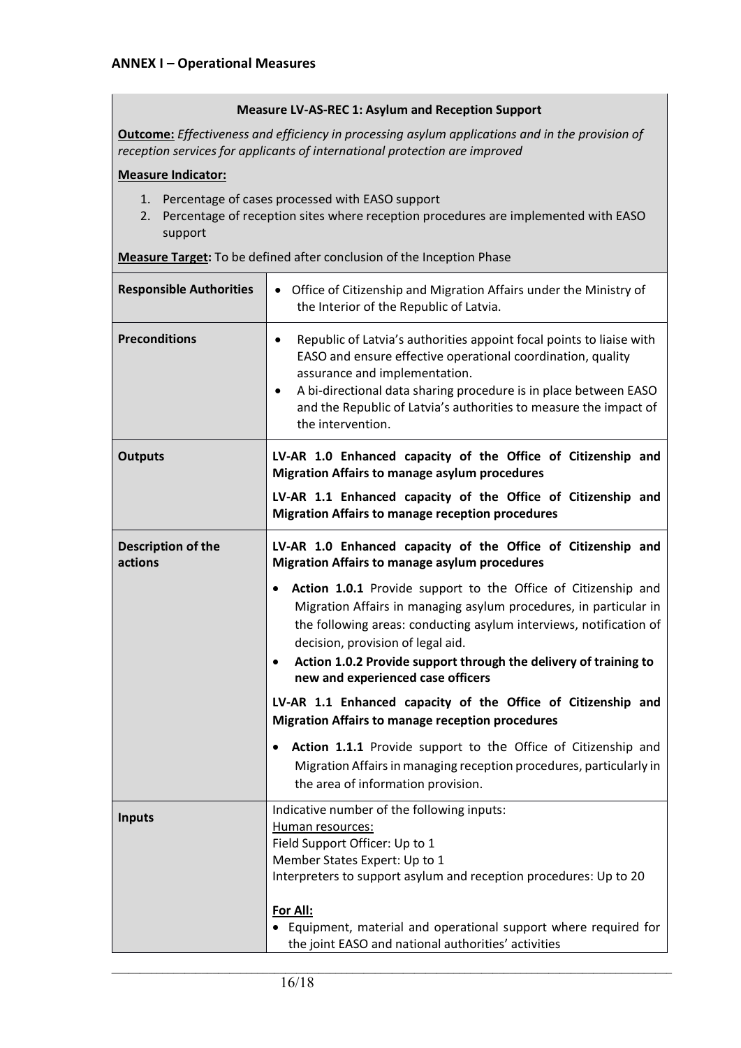#### **Measure LV-AS-REC 1: Asylum and Reception Support**

**Outcome:** *Effectiveness and efficiency in processing asylum applications and in the provision of reception services for applicants of international protection are improved*

#### **Measure Indicator:**

- 1. Percentage of cases processed with EASO support
- 2. Percentage of reception sites where reception procedures are implemented with EASO support

**Measure Target:** To be defined after conclusion of the Inception Phase

| <b>Responsible Authorities</b> | Office of Citizenship and Migration Affairs under the Ministry of<br>$\bullet$<br>the Interior of the Republic of Latvia.                                                                                                                                                                                                                                           |
|--------------------------------|---------------------------------------------------------------------------------------------------------------------------------------------------------------------------------------------------------------------------------------------------------------------------------------------------------------------------------------------------------------------|
| <b>Preconditions</b>           | Republic of Latvia's authorities appoint focal points to liaise with<br>٠<br>EASO and ensure effective operational coordination, quality<br>assurance and implementation.<br>A bi-directional data sharing procedure is in place between EASO<br>$\bullet$<br>and the Republic of Latvia's authorities to measure the impact of<br>the intervention.                |
| <b>Outputs</b>                 | LV-AR 1.0 Enhanced capacity of the Office of Citizenship and<br><b>Migration Affairs to manage asylum procedures</b>                                                                                                                                                                                                                                                |
|                                | LV-AR 1.1 Enhanced capacity of the Office of Citizenship and<br><b>Migration Affairs to manage reception procedures</b>                                                                                                                                                                                                                                             |
| Description of the<br>actions  | LV-AR 1.0 Enhanced capacity of the Office of Citizenship and<br><b>Migration Affairs to manage asylum procedures</b>                                                                                                                                                                                                                                                |
|                                | Action 1.0.1 Provide support to the Office of Citizenship and<br>Migration Affairs in managing asylum procedures, in particular in<br>the following areas: conducting asylum interviews, notification of<br>decision, provision of legal aid.<br>Action 1.0.2 Provide support through the delivery of training to<br>$\bullet$<br>new and experienced case officers |
|                                | LV-AR 1.1 Enhanced capacity of the Office of Citizenship and<br><b>Migration Affairs to manage reception procedures</b>                                                                                                                                                                                                                                             |
|                                | Action 1.1.1 Provide support to the Office of Citizenship and<br>$\bullet$<br>Migration Affairs in managing reception procedures, particularly in<br>the area of information provision.                                                                                                                                                                             |
| <b>Inputs</b>                  | Indicative number of the following inputs:<br>Human resources:<br>Field Support Officer: Up to 1<br>Member States Expert: Up to 1<br>Interpreters to support asylum and reception procedures: Up to 20                                                                                                                                                              |
|                                | For All:<br>• Equipment, material and operational support where required for<br>the joint EASO and national authorities' activities                                                                                                                                                                                                                                 |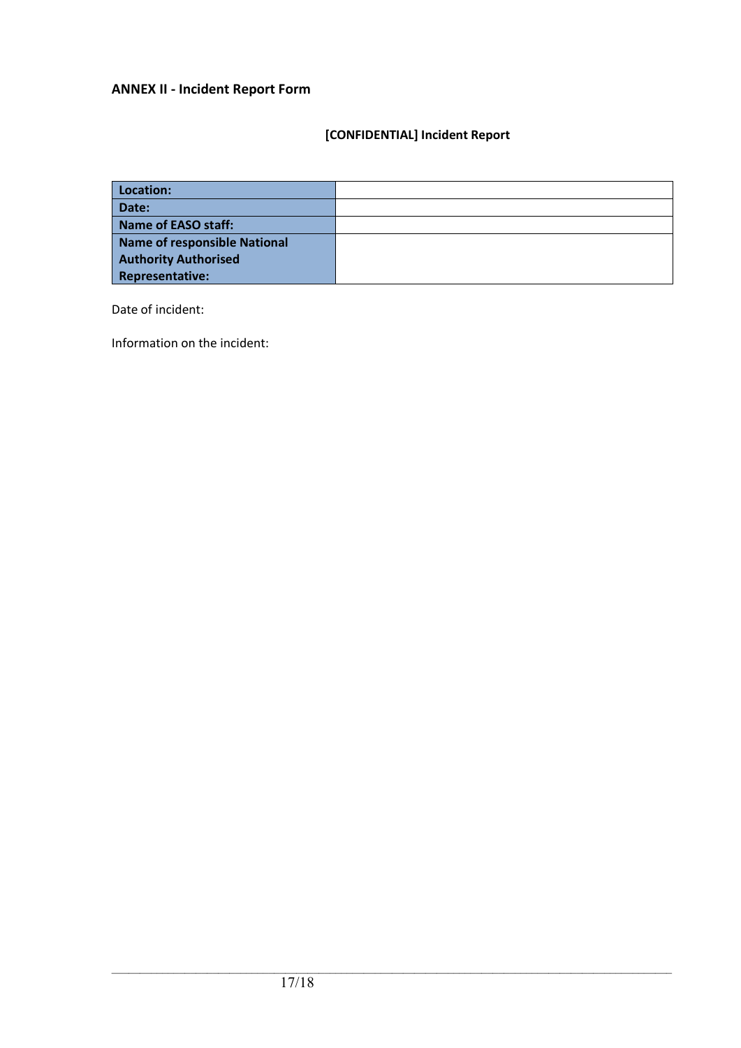# **ANNEX II - Incident Report Form**

# **[CONFIDENTIAL] Incident Report**

| Location:                           |  |
|-------------------------------------|--|
| Date:                               |  |
| Name of EASO staff:                 |  |
| <b>Name of responsible National</b> |  |
| <b>Authority Authorised</b>         |  |
| <b>Representative:</b>              |  |

Date of incident:

Information on the incident: